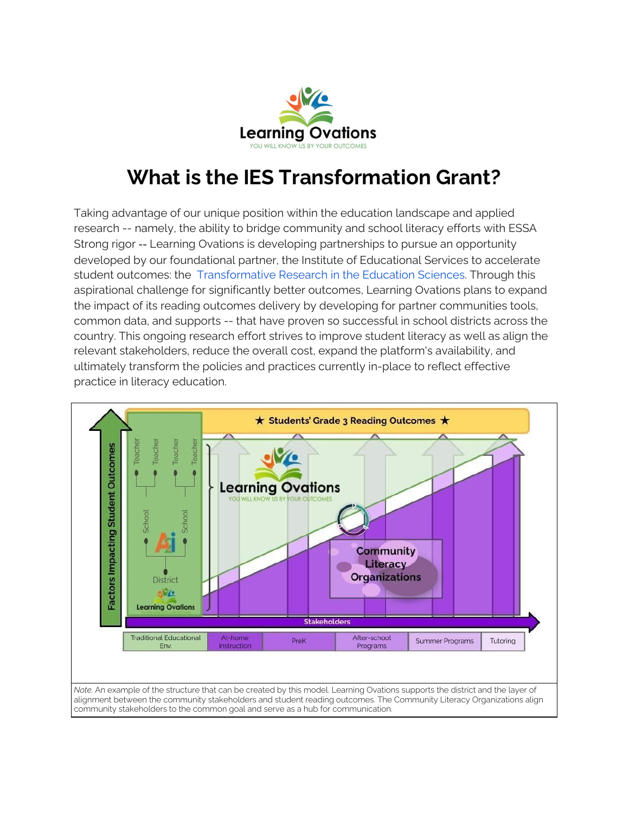

# **What is the IES Transformation Grant?**

Taking advantage of our unique position within the education landscape and applied research -- namely, the ability to bridge community and school literacy efforts with ESSA Strong rigor -- Learning Ovations is developing partnerships to pursue an opportunity developed by our foundational partner, the Institute of Educational Services to accelerate student outcomes: the [Transformative](https://ies.ed.gov/funding/pdf/2021_84305T.pdf) Research in the Education Sciences. Through this aspirational challenge for significantly better outcomes, Learning Ovations plans to expand the impact of its reading outcomes delivery by developing for partner communities tools, common data, and supports -- that have proven so successful in school districts across the country. This ongoing research effort strives to improve student literacy as well as align the relevant stakeholders, reduce the overall cost, expand the platform's availability, and ultimately transform the policies and practices currently in-place to reflect effective practice in literacy education.

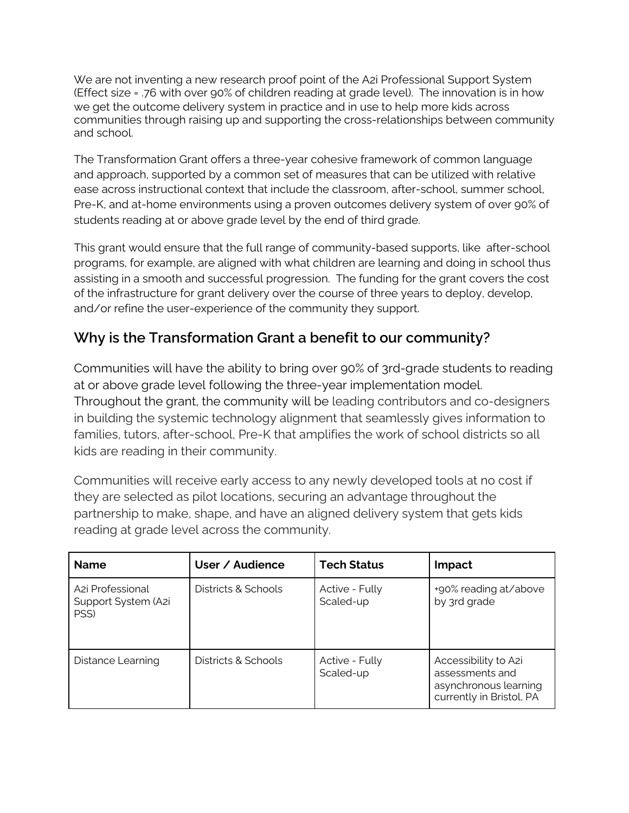We are not inventing a new research proof point of the A2i Professional Support System (Effect size = .76 with over 90% of children reading at grade level). The innovation is in how we get the outcome delivery system in practice and in use to help more kids across communities through raising up and supporting the cross-relationships between community and school.

The Transformation Grant offers a three-year cohesive framework of common language and approach, supported by a common set of measures that can be utilized with relative ease across instructional context that include the classroom, after-school, summer school, Pre-K, and at-home environments using a proven outcomes delivery system of over 90% of students reading at or above grade level by the end of third grade.

This grant would ensure that the full range of community-based supports, like after-school programs, for example, are aligned with what children are learning and doing in school thus assisting in a smooth and successful progression. The funding for the grant covers the cost of the infrastructure for grant delivery over the course of three years to deploy, develop, and/or refine the user-experience of the community they support.

## **Why is the Transformation Grant a benefit to our community?**

Communities will have the ability to bring over 90% of 3rd-grade students to reading at or above grade level following the three-year implementation model. Throughout the grant, the community will be leading contributors and co-designers in building the systemic technology alignment that seamlessly gives information to families, tutors, after-school, Pre-K that amplifies the work of school districts so all kids are reading in their community.

Communities will receive early access to any newly developed tools at no cost if they are selected as pilot locations, securing an advantage throughout the partnership to make, shape, and have an aligned delivery system that gets kids reading at grade level across the community.

| <b>Name</b>                                     | User / Audience     | <b>Tech Status</b>          | Impact                                                                                       |
|-------------------------------------------------|---------------------|-----------------------------|----------------------------------------------------------------------------------------------|
| Azi Professional<br>Support System (A2i<br>PSS) | Districts & Schools | Active - Fully<br>Scaled-up | +90% reading at/above<br>by 3rd grade                                                        |
| Distance Learning                               | Districts & Schools | Active - Fully<br>Scaled-up | Accessibility to A2i<br>assessments and<br>asynchronous learning<br>currently in Bristol, PA |